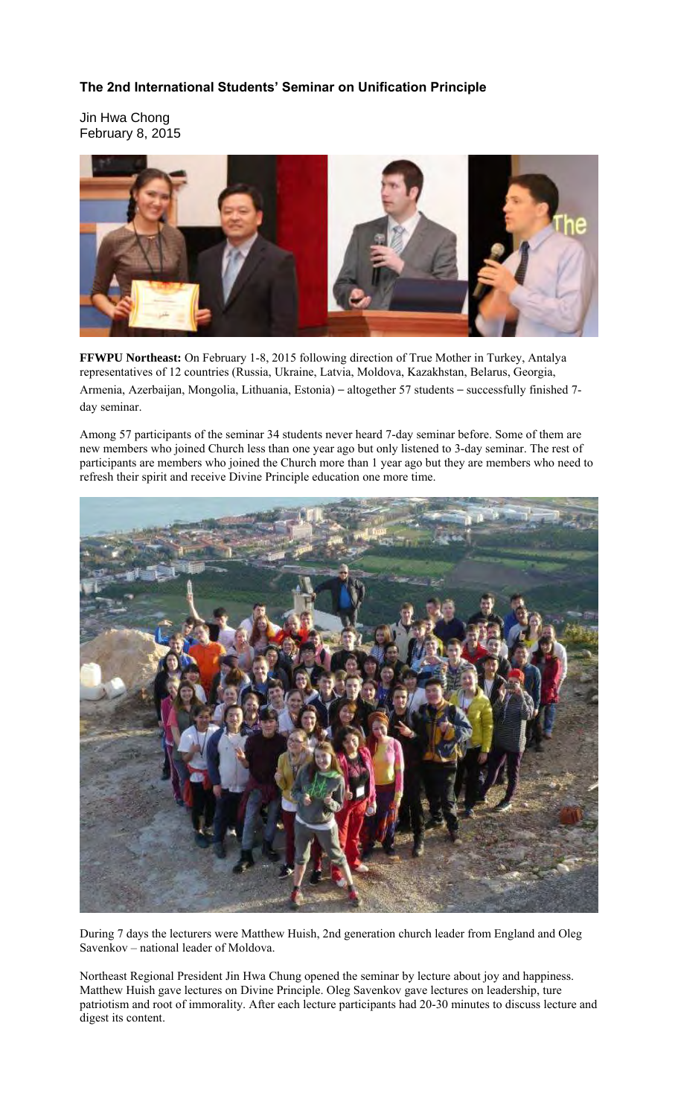## **The 2nd International Students' Seminar on Unification Principle**

Jin Hwa Chong February 8, 2015



**FFWPU Northeast:** On February 1-8, 2015 following direction of True Mother in Turkey, Antalya representatives of 12 countries (Russia, Ukraine, Latvia, Moldova, Kazakhstan, Belarus, Georgia, Armenia, Azerbaijan, Mongolia, Lithuania, Estonia) – altogether 57 students – successfully finished 7 day seminar.

Among 57 participants of the seminar 34 students never heard 7-day seminar before. Some of them are new members who joined Church less than one year ago but only listened to 3-day seminar. The rest of participants are members who joined the Church more than 1 year ago but they are members who need to refresh their spirit and receive Divine Principle education one more time.



During 7 days the lecturers were Matthew Huish, 2nd generation church leader from England and Oleg Savenkov – national leader of Moldova.

Northeast Regional President Jin Hwa Chung opened the seminar by lecture about joy and happiness. Matthew Huish gave lectures on Divine Principle. Oleg Savenkov gave lectures on leadership, ture patriotism and root of immorality. After each lecture participants had 20-30 minutes to discuss lecture and digest its content.